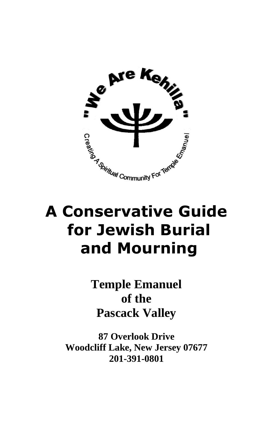

# **A Conservative Guide for Jewish Burial and Mourning**

**Temple Emanuel of the Pascack Valley**

**87 Overlook Drive Woodcliff Lake, New Jersey 07677 201-391-0801**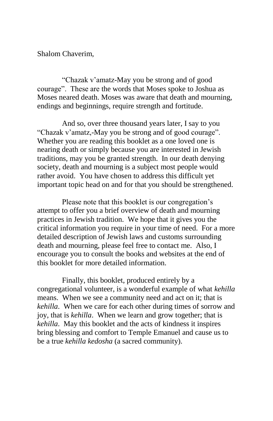Shalom Chaverim,

"Chazak v'amatz-May you be strong and of good courage". These are the words that Moses spoke to Joshua as Moses neared death. Moses was aware that death and mourning, endings and beginnings, require strength and fortitude.

And so, over three thousand years later, I say to you "Chazak v'amatz,-May you be strong and of good courage". Whether you are reading this booklet as a one loved one is nearing death or simply because you are interested in Jewish traditions, may you be granted strength. In our death denying society, death and mourning is a subject most people would rather avoid. You have chosen to address this difficult yet important topic head on and for that you should be strengthened.

Please note that this booklet is our congregation's attempt to offer you a brief overview of death and mourning practices in Jewish tradition. We hope that it gives you the critical information you require in your time of need. For a more detailed description of Jewish laws and customs surrounding death and mourning, please feel free to contact me. Also, I encourage you to consult the books and websites at the end of this booklet for more detailed information.

Finally, this booklet, produced entirely by a congregational volunteer, is a wonderful example of what *kehilla* means. When we see a community need and act on it; that is *kehilla*. When we care for each other during times of sorrow and joy, that is *kehilla*. When we learn and grow together; that is *kehilla*. May this booklet and the acts of kindness it inspires bring blessing and comfort to Temple Emanuel and cause us to be a true *kehilla kedosha* (a sacred community).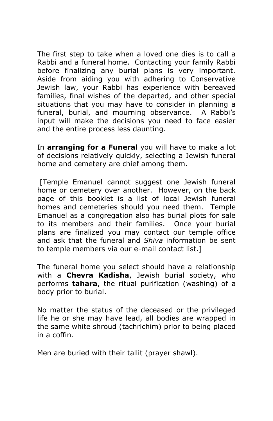The first step to take when a loved one dies is to call a Rabbi and a funeral home. Contacting your family Rabbi before finalizing any burial plans is very important. Aside from aiding you with adhering to Conservative Jewish law, your Rabbi has experience with bereaved families, final wishes of the departed, and other special situations that you may have to consider in planning a funeral, burial, and mourning observance. A Rabbi's input will make the decisions you need to face easier and the entire process less daunting.

In **arranging for a Funeral** you will have to make a lot of decisions relatively quickly, selecting a Jewish funeral home and cemetery are chief among them.

[Temple Emanuel cannot suggest one Jewish funeral home or cemetery over another. However, on the back page of this booklet is a list of local Jewish funeral homes and cemeteries should you need them. Temple Emanuel as a congregation also has burial plots for sale to its members and their families. Once your burial plans are finalized you may contact our temple office and ask that the funeral and *Shiva* information be sent to temple members via our e-mail contact list.]

The funeral home you select should have a relationship with a **Chevra Kadisha**, Jewish burial society, who performs **tahara**, the ritual purification (washing) of a body prior to burial.

No matter the status of the deceased or the privileged life he or she may have lead, all bodies are wrapped in the same white shroud (tachrichim) prior to being placed in a coffin.

Men are buried with their tallit (prayer shawl).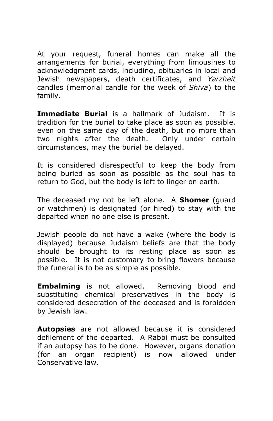At your request, funeral homes can make all the arrangements for burial, everything from limousines to acknowledgment cards, including, obituaries in local and Jewish newspapers, death certificates, and *Yarzheit* candles (memorial candle for the week of *Shiva*) to the family.

**Immediate Burial** is a hallmark of Judaism. It is tradition for the burial to take place as soon as possible, even on the same day of the death, but no more than two nights after the death. Only under certain circumstances, may the burial be delayed.

It is considered disrespectful to keep the body from being buried as soon as possible as the soul has to return to God, but the body is left to linger on earth.

The deceased my not be left alone. A **Shomer** (guard or watchmen) is designated (or hired) to stay with the departed when no one else is present.

Jewish people do not have a wake (where the body is displayed) because Judaism beliefs are that the body should be brought to its resting place as soon as possible. It is not customary to bring flowers because the funeral is to be as simple as possible.

**Embalming** is not allowed. Removing blood and substituting chemical preservatives in the body is considered desecration of the deceased and is forbidden by Jewish law.

**Autopsies** are not allowed because it is considered defilement of the departed. A Rabbi must be consulted if an autopsy has to be done. However, organs donation (for an organ recipient) is now allowed under Conservative law.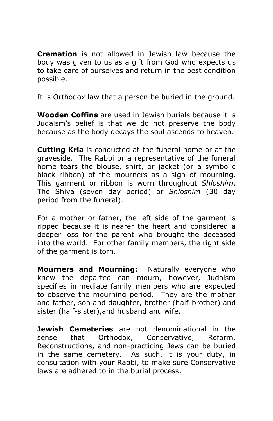**Cremation** is not allowed in Jewish law because the body was given to us as a gift from God who expects us to take care of ourselves and return in the best condition possible.

It is Orthodox law that a person be buried in the ground.

**Wooden Coffins** are used in Jewish burials because it is Judaism's belief is that we do not preserve the body because as the body decays the soul ascends to heaven.

**Cutting Kria** is conducted at the funeral home or at the graveside. The Rabbi or a representative of the funeral home tears the blouse, shirt, or jacket (or a symbolic black ribbon) of the mourners as a sign of mourning. This garment or ribbon is worn throughout *Shloshim*. The Shiva (seven day period) or *Shloshim* (30 day period from the funeral).

For a mother or father, the left side of the garment is ripped because it is nearer the heart and considered a deeper loss for the parent who brought the deceased into the world. For other family members, the right side of the garment is torn.

**Mourners and Mourning:** Naturally everyone who knew the departed can mourn, however, Judaism specifies immediate family members who are expected to observe the mourning period. They are the mother and father, son and daughter, brother (half-brother) and sister (half-sister),and husband and wife.

**Jewish Cemeteries** are not denominational in the sense that Orthodox, Conservative, Reform, Reconstructions, and non-practicing Jews can be buried in the same cemetery. As such, it is your duty, in consultation with your Rabbi, to make sure Conservative laws are adhered to in the burial process.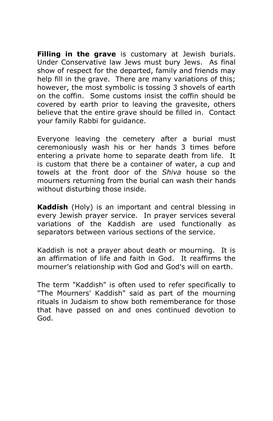**Filling in the grave** is customary at Jewish burials. Under Conservative law Jews must bury Jews. As final show of respect for the departed, family and friends may help fill in the grave. There are many variations of this; however, the most symbolic is tossing 3 shovels of earth on the coffin. Some customs insist the coffin should be covered by earth prior to leaving the gravesite, others believe that the entire grave should be filled in. Contact your family Rabbi for guidance.

Everyone leaving the cemetery after a burial must ceremoniously wash his or her hands 3 times before entering a private home to separate death from life. It is custom that there be a container of water, a cup and towels at the front door of the *Shiva* house so the mourners returning from the burial can wash their hands without disturbing those inside.

**Kaddish** (Holy) is an important and central blessing in every Jewish prayer service. In prayer services several variations of the Kaddish are used functionally as separators between various sections of the [service.](http://en.wikipedia.org/wiki/Jewish_services)

Kaddish is not a prayer about death or mourning. It is an affirmation of life and faith in God. It reaffirms the mourner's relationship with God and God's will on earth.

The term "Kaddish" is often used to refer specifically to "The Mourners' Kaddish" said as part of the mourning rituals in Judaism to show both rememberance for those that have passed on and ones continued devotion to God.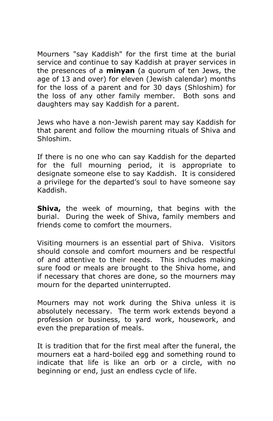Mourners "say Kaddish" for the first time at the burial service and continue to say Kaddish at prayer services in the presences of a **minyan** (a quorum of ten Jews, the age of 13 and over) for eleven (Jewish calendar) months for the loss of a parent and for 30 days (Shloshim) for the loss of any other family member. Both sons and daughters may say Kaddish for a parent.

Jews who have a non-Jewish parent may say Kaddish for that parent and follow the mourning rituals of Shiva and Shloshim.

If there is no one who can say Kaddish for the departed for the full mourning period, it is appropriate to designate someone else to say Kaddish. It is considered a privilege for the departed's soul to have someone say Kaddish.

**Shiva,** the week of mourning, that begins with the burial. During the week of Shiva, family members and friends come to comfort the mourners.

Visiting mourners is an essential part of Shiva. Visitors should console and comfort mourners and be respectful of and attentive to their needs. This includes making sure food or meals are brought to the Shiva home, and if necessary that chores are done, so the mourners may mourn for the departed uninterrupted.

Mourners may not work during the Shiva unless it is absolutely necessary. The term work extends beyond a profession or business, to yard work, housework, and even the preparation of meals.

It is tradition that for the first meal after the funeral, the mourners eat a hard-boiled egg and something round to indicate that life is like an orb or a circle, with no beginning or end, just an endless cycle of life.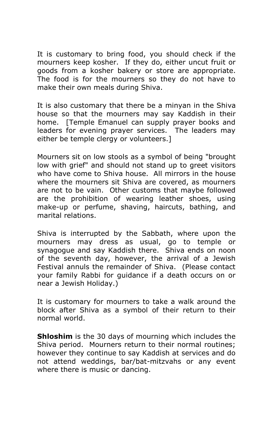It is customary to bring food, you should check if the mourners keep kosher. If they do, either uncut fruit or goods from a kosher bakery or store are appropriate. The food is for the mourners so they do not have to make their own meals during Shiva.

It is also customary that there be a minyan in the Shiva house so that the mourners may say Kaddish in their home. [Temple Emanuel can supply prayer books and leaders for evening prayer services. The leaders may either be temple clergy or volunteers.]

Mourners sit on low stools as a symbol of being "brought low with grief" and should not stand up to greet visitors who have come to Shiva house. All mirrors in the house where the mourners sit Shiva are covered, as mourners are not to be vain. Other customs that maybe followed are the prohibition of wearing leather shoes, using make-up or perfume, shaving, haircuts, bathing, and marital relations.

Shiva is interrupted by the Sabbath, where upon the mourners may dress as usual, go to temple or synagogue and say Kaddish there. Shiva ends on noon of the seventh day, however, the arrival of a Jewish Festival annuls the remainder of Shiva. (Please contact your family Rabbi for guidance if a death occurs on or near a Jewish Holiday.)

It is customary for mourners to take a walk around the block after Shiva as a symbol of their return to their normal world.

**Shloshim** is the 30 days of mourning which includes the Shiva period. Mourners return to their normal routines; however they continue to say Kaddish at services and do not attend weddings, bar/bat-mitzvahs or any event where there is music or dancing.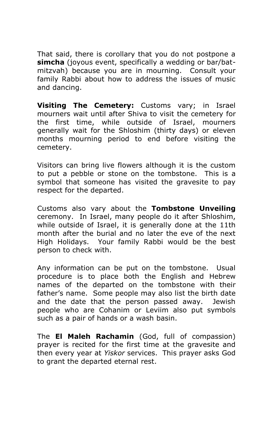That said, there is corollary that you do not postpone a **simcha** (joyous event, specifically a wedding or bar/batmitzvah) because you are in mourning. Consult your family Rabbi about how to address the issues of music and dancing.

**Visiting The Cemetery:** Customs vary; in Israel mourners wait until after Shiva to visit the cemetery for the first time, while outside of Israel, mourners generally wait for the Shloshim (thirty days) or eleven months mourning period to end before visiting the cemetery.

Visitors can bring live flowers although it is the custom to put a pebble or stone on the tombstone. This is a symbol that someone has visited the gravesite to pay respect for the departed.

Customs also vary about the **Tombstone Unveiling** ceremony. In Israel, many people do it after Shloshim, while outside of Israel, it is generally done at the 11th month after the burial and no later the eve of the next High Holidays. Your family Rabbi would be the best person to check with.

Any information can be put on the tombstone. Usual procedure is to place both the English and Hebrew names of the departed on the tombstone with their father's name. Some people may also list the birth date and the date that the person passed away. Jewish people who are Cohanim or Leviim also put symbols such as a pair of hands or a wash basin.

The **El Maleh Rachamin** (God, full of compassion) prayer is recited for the first time at the gravesite and then every year at *Yiskor* services. This prayer asks God to grant the departed eternal rest.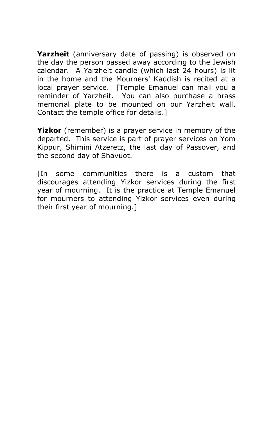**Yarzheit** (anniversary date of passing) is observed on the day the person passed away according to the Jewish calendar. A Yarzheit candle (which last 24 hours) is lit in the home and the Mourners' Kaddish is recited at a local prayer service. [Temple Emanuel can mail you a reminder of Yarzheit. You can also purchase a brass memorial plate to be mounted on our Yarzheit wall. Contact the temple office for details.]

**Yizkor** (remember) is a prayer service in memory of the departed. This service is part of prayer services on Yom Kippur, Shimini Atzeretz, the last day of Passover, and the second day of Shavuot.

[In some communities there is a custom that discourages attending Yizkor services during the first year of mourning. It is the practice at Temple Emanuel for mourners to attending Yizkor services even during their first year of mourning.]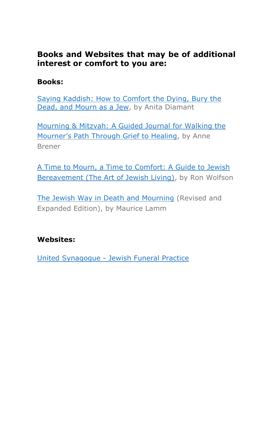# **Books and Websites that may be of additional interest or comfort to you are:**

# **Books:**

[Saying Kaddish: How to Comfort the Dying,](http://www.amazon.com/Saying-Kaddish-Comfort-Dying-Mourn/dp/0805210881) Bury the [Dead, and Mourn as a Jew,](http://www.amazon.com/Saying-Kaddish-Comfort-Dying-Mourn/dp/0805210881) by Anita Diamant

[Mourning & Mitzvah: A Guided Journal for Walking the](http://www.amazon.com/Mourning-Mitzvah-Journal-Walking-Mourners/dp/1580231136)  [Mourner's Path Through Grief to Healing](http://www.amazon.com/Mourning-Mitzvah-Journal-Walking-Mourners/dp/1580231136), by Anne Brener

[A Time to Mourn, a Time to Comfort: A Guide to Jewish](http://www.amazon.com/Time-Mourn-Comfort-Jewish-Bereavement/dp/1580232531)  [Bereavement \(The Art of Jewish Living\),](http://www.amazon.com/Time-Mourn-Comfort-Jewish-Bereavement/dp/1580232531) by Ron Wolfson

[The Jewish Way in Death and Mourning](http://www.amazon.com/Jewish-Way-Death-Mourning/dp/0824604229) (Revised and Expanded Edition), by Maurice Lamm

# **Websites:**

United Synagogue - [Jewish Funeral Practice](http://www.uscj.org/JewishLivingandLearning/Lifecycle/JewishFuneralPractice/)